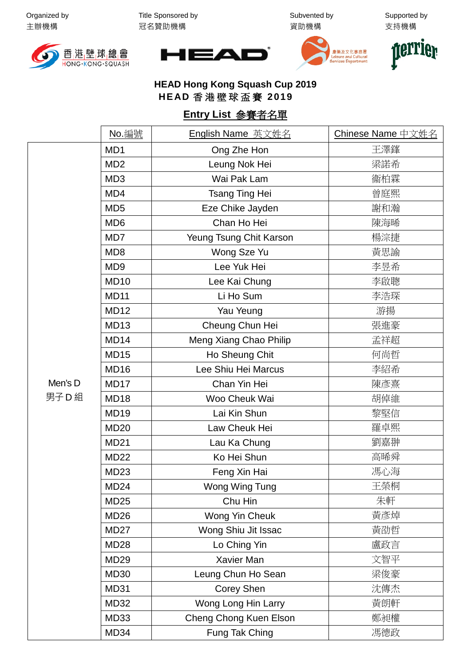Organized by 主辦機構

Title Sponsored by 冠名贊助機構

Subvented by 資助機構

Supported by 支持機構









## **HEAD Hong Kong Squash Cup 2019 HEAD** 香港壁球盃賽 **2019**

## **Entry List** 參賽者名單

|                   | No. 編號           | English Name 英文姓名       | Chinese Name 中文姓名 |
|-------------------|------------------|-------------------------|-------------------|
|                   | MD1              | Ong Zhe Hon             | 王澤鎽               |
| Men's D<br>男子 D 組 | MD <sub>2</sub>  | Leung Nok Hei           | 梁諾希               |
|                   | MD <sub>3</sub>  | Wai Pak Lam             | 衞柏霖               |
|                   | MD4              | <b>Tsang Ting Hei</b>   | 曾庭熙               |
|                   | MD <sub>5</sub>  | Eze Chike Jayden        | 謝和瀚               |
|                   | MD <sub>6</sub>  | Chan Ho Hei             | 陳海晞               |
|                   | MD7              | Yeung Tsung Chit Karson | 楊淙捷               |
|                   | MD <sub>8</sub>  | Wong Sze Yu             | 黃思諭               |
|                   | MD <sub>9</sub>  | Lee Yuk Hei             | 李昱希               |
|                   | <b>MD10</b>      | Lee Kai Chung           | 李啟聰               |
|                   | <b>MD11</b>      | Li Ho Sum               | 李浩琛               |
|                   | MD <sub>12</sub> | Yau Yeung               | 游揚                |
|                   | <b>MD13</b>      | Cheung Chun Hei         | 張進豪               |
|                   | MD <sub>14</sub> | Meng Xiang Chao Philip  | 孟祥超               |
|                   | <b>MD15</b>      | Ho Sheung Chit          | 何尚哲               |
|                   | MD <sub>16</sub> | Lee Shiu Hei Marcus     | 李紹希               |
|                   | MD <sub>17</sub> | Chan Yin Hei            | 陳彥熹               |
|                   | MD <sub>18</sub> | Woo Cheuk Wai           | 胡倬維               |
|                   | <b>MD19</b>      | Lai Kin Shun            | 黎堅信               |
|                   | <b>MD20</b>      | Law Cheuk Hei           | 羅卓熙               |
|                   | <b>MD21</b>      | Lau Ka Chung            | 劉嘉翀               |
|                   | <b>MD22</b>      | Ko Hei Shun             | 高晞舜               |
|                   | <b>MD23</b>      | Feng Xin Hai            | 馮心海               |
|                   | MD <sub>24</sub> | Wong Wing Tung          | 王榮桐               |
|                   | <b>MD25</b>      | Chu Hin                 | 朱軒                |
|                   | MD <sub>26</sub> | Wong Yin Cheuk          | 黃彥焯               |
|                   | MD <sub>27</sub> | Wong Shiu Jit Issac     | 黃劭哲               |
|                   | <b>MD28</b>      | Lo Ching Yin            | 盧政言               |
|                   | <b>MD29</b>      | Xavier Man              | 文智平               |
|                   | <b>MD30</b>      | Leung Chun Ho Sean      | 梁俊豪               |
|                   | <b>MD31</b>      | Corey Shen              | 沈傳杰               |
|                   | <b>MD32</b>      | Wong Long Hin Larry     | 黃朗軒               |
|                   | MD33             | Cheng Chong Kuen Elson  | 鄭昶權               |
|                   | MD34             | Fung Tak Ching          | 馮德政               |